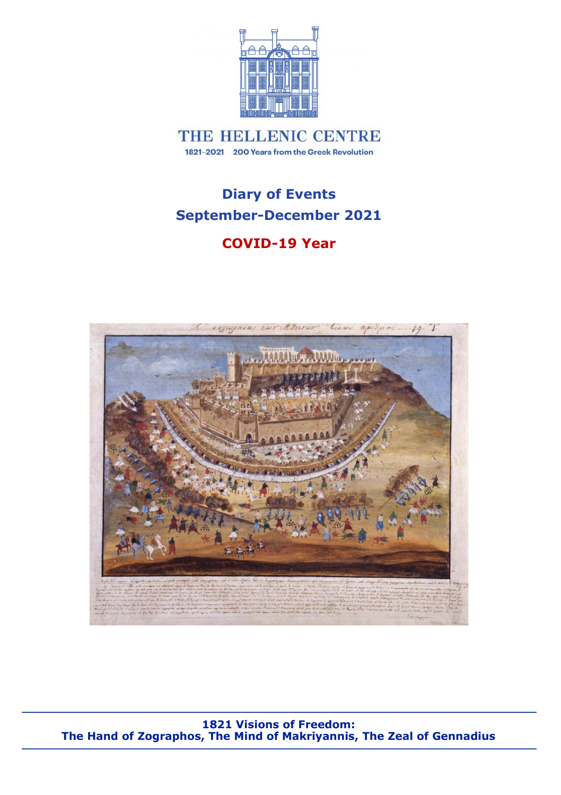

THE HELLENIC CENTRE 1821-2021 200 Years from the Greek Revolution

# **Diary of Events September-December 2021**

## **COVID-19 Year**



**1821 Visions of Freedom: The Hand of Zographos, The Mind of Makriyannis, The Zeal of Gennadius**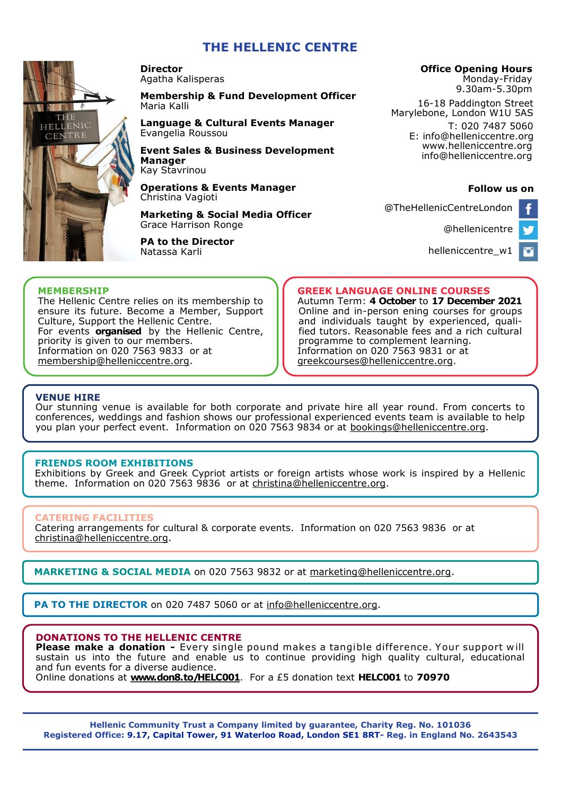## **THE HELLENIC CENTRE**



**Director**  Agatha Kalisperas

**Membership & Fund Development Officer**  Maria Kalli

**Language & Cultural Events Manager**  Evangelia Roussou

**Event Sales & Business Development Manager** Kay Stavrinou

**Operations & Events Manager**  Christina Vagioti

**Marketing & Social Media Officer** Grace Harrison Ronge

**PA to the Director** Natassa Karli

### **Office Opening Hours**

Monday-Friday 9.30am-5.30pm

16-18 Paddington Street Marylebone, London W1U 5AS T: 020 7487 5060

E: info@helleniccentre.org www.helleniccentre.org info@helleniccentre.org

#### **Follow us on**

@TheHellenicCentreLondon

[@hellenicentre](https://twitter.com/hellenicentre)

**TS** 

[helleniccentre\\_w1](https://www.instagram.com/helleniccentre_w1/)

### **MEMBERSHIP**

The Hellenic Centre relies on its membership to ensure its future. Become a Member, Support Culture, Support the Hellenic Centre. For events **organised** by the Hellenic Centre, priority is given to our members. Information on 020 7563 9833 or at [membership@helleniccentre.org.](mailto:maria@helleniccentre.org)

**GREEK LANGUAGE ONLINE COURSES**

Autumn Term: **4 October** to **17 December 2021** Online and in-person ening courses for groups and individuals taught by experienced, qualified tutors. Reasonable fees and a rich cultural programme to complement learning. Information on 020 7563 9831 or at [greekcourses@helleniccentre.org.](mailto:greekcourses@helleniccentre.org)

#### **VENUE HIRE**

Our stunning venue is available for both corporate and private hire all year round. From concerts to conferences, weddings and fashion shows our professional experienced events team is available to help you plan your perfect event. Information on 020 7563 9834 or at [bookings@helleniccentre.org.](mailto:bookings@helleniccentre.org)

#### **FRIENDS ROOM EXHIBITIONS**

Εxhibitions by Greek and Greek Cypriot artists or foreign artists whose work is inspired by a Hellenic theme. Information on 020 7563 9836 or at [christina@helleniccentre.org.](mailto:christina@helleniccentre.org)

#### **CATERING FACILITIES**

Catering arrangements for cultural & corporate events. Information on 020 7563 9836 or at [christina@helleniccentre.org.](mailto:christina@helleniccentre.org)

**MARKETING & SOCIAL MEDIA** on 020 7563 9832 or at marketing@helleniccentre.org.

**PA TO THE DIRECTOR** on 020 7487 5060 or at info@helleniccentre.org.

#### **DONATIONS TO THE HELLENIC CENTRE**

**Please make a donation -** Every single pound makes a tangible difference. Your support will sustain us into the future and enable us to continue providing high quality cultural, educational and fun events for a diverse audience.

Online donations at **[www.don8.to/HELC001](http://www.don8.to/HELC001)**. For a £5 donation text **HELC001** to **70970** 

**Hellenic Community Trust a Company limited by guarantee, Charity Reg. No. 101036 Registered Office: 9.17, Capital Tower, 91 Waterloo Road, London SE1 8RT- Reg. in England No. 2643543**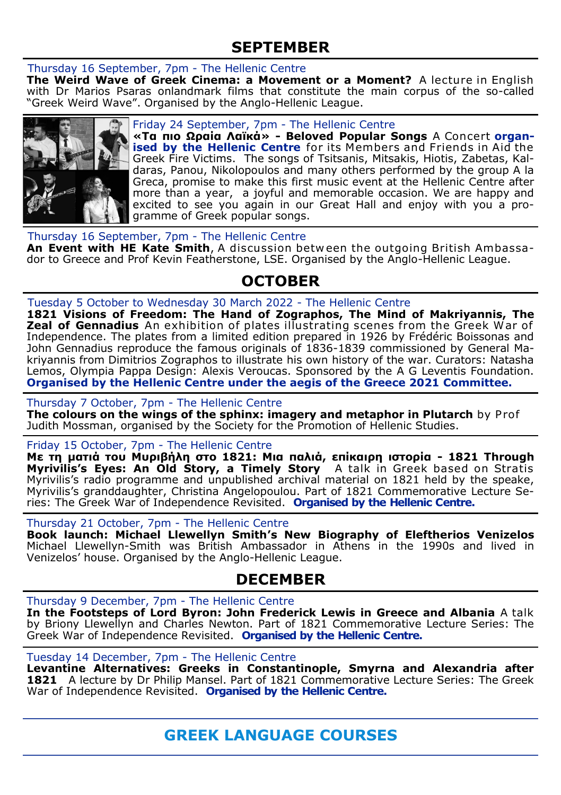## **SEPTEMBER**

### Thursday 16 September, 7pm - The Hellenic Centre

**[The Weird Wave of Greek Cinema: a Movement or a Moment?](https://helleniccentre.org/event/the-weird-wave-of-greek-cinema-a-movement-or-a-moment/)** A lecture in English with Dr Marios Psaras onlandmark films that constitute the main corpus of the so-called "Greek Weird Wave". Organised by the Anglo-Hellenic League.



Friday 24 September, 7pm - The Hellenic Centre **«Τα πιο Ωραία Λαϊκά» - Beloved Popular Songs** A Concert **organised by the Hellenic Centre** for its Members and Friends in Aid the Greek Fire Victims. The songs of Tsitsanis, Mitsakis, Hiotis, Zabetas, Kaldaras, Panou, Nikolopoulos and many others performed by the group A la Greca, promise to make this first music event at the Hellenic Centre after more than a year, a joyful and memorable occasion. We are happy and excited to see you again in our Great Hall and enjoy with you a programme of Greek popular songs.

### Thursday 16 September, 7pm - The Hellenic Centre

**An Event with HE Kate Smith**, A discussion betw een the outgoing British Ambassador to Greece and Prof Kevin Featherstone, LSE. Organised by the Anglo-Hellenic League.

## **OCTOBER**

Tuesday 5 October to Wednesday 30 March 2022 - The Hellenic Centre

**1821 Visions of Freedom: The Hand of Zographos, The Mind of Makriyannis, The Zeal of Gennadius** An exhibition of plates illustrating scenes from the Greek War of Independence. The plates from a limited edition prepared in 1926 by Frédéric Boissonas and John Gennadius reproduce the famous originals of 1836-1839 commissioned by General Makriyannis from Dimitrios Zographos to illustrate his own history of the war. Curators: Natasha Lemos, Olympia Pappa Design: Αlexis Veroucas. Sponsored by the A G Leventis Foundation. **Organised by the Hellenic Centre under the aegis of the Greece 2021 Committee.** 

### Thursday 7 October, 7pm - The Hellenic Centre

**The colours on the wings of the sphinx: imagery and metaphor in Plutarch** by Prof Judith Mossman, organised by the Society for the Promotion of Hellenic Studies.

### Friday 15 October, 7pm - The Hellenic Centre

**[Με τη ματιά του Μυριβήλη στο 1821: Μια παλιά, επίκαιρη ιστορία](https://helleniccentre.org/event/1821-through-mhyriviliss-eyes-%ce%b1n-old-story-a-timely-story/) - 1821 Through Myrivilis's Eyes: Αn Old Story, a Timely Story** A talk in Greek based on Stratis Myrivilis's radio programme and unpublished archival material on 1821 held by the speake, Myrivilis's granddaughter, Christina Angelopoulou. Part of 1821 Commemorative Lecture Series: The Greek War of Independence Revisited. **Organised by the Hellenic Centre.**

### Thursday 21 October, 7pm - The Hellenic Centre

**Book launch: Michael Llewellyn Smith's New Biography of Eleftherios Venizelos**  Michael Llewellyn-Smith was British Ambassador in Athens in the 1990s and lived in Venizelos' house. Organised by the Anglo-Hellenic League.

## **DECEMBER**

### Thursday 9 December, 7pm - The Hellenic Centre

**In the Footsteps of Lord Byron: John Frederick Lewis in Greece and Albania** A talk by Briony Llewellyn and Charles Newton. Part of 1821 Commemorative Lecture Series: The Greek War of Independence Revisited. **Organised by the Hellenic Centre.**

Tuesday 14 December, 7pm - The Hellenic Centre

**Levantine Alternatives: Greeks in Constantinople, Smyrna and Alexandria after**  1821 A lecture by Dr Philip Mansel. Part of 1821 Commemorative Lecture Series: The Greek War of Independence Revisited. **Organised by the Hellenic Centre.**

## **GREEK LANGUAGE COURSES**